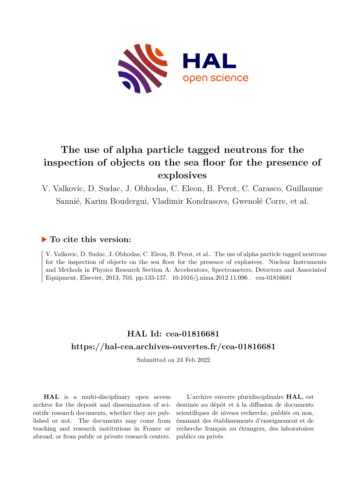

# **The use of alpha particle tagged neutrons for the inspection of objects on the sea floor for the presence of explosives**

## V. Valkovic, D. Sudac, J. Obhodas, C. Eleon, B. Perot, C. Carasco, Guillaume Sannié, Karim Boudergui, Vladimir Kondrasovs, Gwenolé Corre, et al.

### **To cite this version:**

V. Valkovic, D. Sudac, J. Obhodas, C. Eleon, B. Perot, et al.. The use of alpha particle tagged neutrons for the inspection of objects on the sea floor for the presence of explosives. Nuclear Instruments and Methods in Physics Research Section A: Accelerators, Spectrometers, Detectors and Associated Equipment, Elsevier, 2013, 703, pp.133-137. 10.1016/j.nima.2012.11.096 cea-01816681

## **HAL Id: cea-01816681 <https://hal-cea.archives-ouvertes.fr/cea-01816681>**

Submitted on 24 Feb 2022

**HAL** is a multi-disciplinary open access archive for the deposit and dissemination of scientific research documents, whether they are published or not. The documents may come from teaching and research institutions in France or abroad, or from public or private research centers.

L'archive ouverte pluridisciplinaire **HAL**, est destinée au dépôt et à la diffusion de documents scientifiques de niveau recherche, publiés ou non, émanant des établissements d'enseignement et de recherche français ou étrangers, des laboratoires publics ou privés.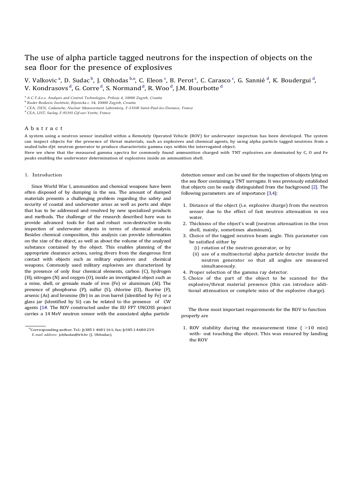### The use of alpha particle tagged neutrons for the inspection of objects on the sea floor for the presence of explosives

V. Valkovic <sup>a</sup>, D. Sudac <sup>b</sup>, J. Obhodas <sup>b,n</sup>, C. Eleon <sup>c</sup>, B. Perot <sup>c</sup>, C. Carasco <sup>c</sup>, G. Sannié <sup>d</sup>, K. Boudergui <sup>d</sup>, V. Kondrasovs $^{\rm d}$ , G. Corre $^{\rm d}$ , S. Normand $^{\rm d}$ , R. Woo $^{\rm d}$ , J.M. Bourbotte $^{\rm d}$ 

<sup>a</sup>*A.C.T.d.o.o. Analysis and Control Technologies, Prilesje 4, 10000 Zagreb, Croatia*

<sup>b</sup>*Ruder Boskovic Institute, Bijenicka c. 54, 10000 Zagreb, Croatia*

<sup>c</sup>*CEA, DEN, Cadarache, Nuclear Measurement Laboratory, F-13108 Saint-Paul-lez-Durance, France*

<sup>d</sup>*CEA, LIST, Saclay, F-91191 Gif-sur-Yvette, France*

#### A b s t r a c t

A system using a neutron sensor installed within a Remotely Operated Vehicle (ROV) for underwater inspection has been developed. The system can inspect objects for the presence of threat materials, such as explosives and chemical agents, by using alpha particle tagged neutrons from a sealed tube dpt neutron generator to produce characteristic gamma rays within the interrogated object.

Here we show that the measured gamma spectra for commonly found ammunition charged with TNT explosives are dominated by C, O and Fe peaks enabling the underwater determination of explosives inside an ammunition shell.

#### 1. Introduction

Since World War I, ammunition and chemical weapons have been often disposed of by dumping in the sea. The amount of dumped materials presents a challenging problem regarding the safety and security of coastal and underwater areas as well as ports and ships that has to be addressed and resolved by new specialized products and methods. The challenge of the research described here was to provide advanced tools for fast and robust non-destructive in-situ inspection of underwater objects in terms of chemical analysis. Besides chemical composition, this analysis can provide information on the size of the object, as well as about the volume of the analyzed substance contained by the object. This enables planning of the appropriate clearance actions, saving divers from the dangerous first contact with objects such as military explosives and chemical weapons. Commonly used military explosives are characterized by the presence of only four chemical elements, carbon  $(C)$ , hydrogen  $(H)$ , nitrogen  $(N)$  and oxygen  $(0)$ , inside an investigated object such as a mine, shell, or grenade made of iron (Fe) or aluminum (Al). The presence of phosphorus (P), sulfur (S), chlorine (Cl), fluorine (F), arsenic (As) and bromine (Br) in an iron barrel (identified by Fe) or a glass jar (identified by Si) can be related to the presence of CW agents [1#. The ROV constructed under the EU FP7 UNCOSS project carries a 14 MeV neutron sensor with the associated alpha particle

detection sensor and can be used for the inspection of objects lying on the sea floor containing a TNT surrogate. It was previously established that objects can be easily distinguished from the background [2]. The following parameters are of importance  $[3,4]$ :

- 1. Distance of the object (i.e. explosive charge) from the neutron sensor due to the effect of fast neutron attenuation in sea water.
- 2. Thickness of the object's wall (neutron attenuation in the iron shell, mainly, sometimes aluminum).
- 3. Choice of the tagged neutron beam angle. This parameter can be satisfied either by
	- (i) rotation of the neutron generator, or by
	- (ii) use of a multisectorial alpha particle detector inside the neutron generator so that all angles are measured simultaneously.
- 4. Proper selection of the gamma ray detector.
- 5. Choice of the part of the object to be scanned for the explosive/threat material presence (this can introduce additional attenuation or complete miss of the explosive charge).

The three most important requirements for the ROV to function properly are

1. ROV stability during the measurement time  $($  >10 min) with- out touching the object. This was ensured by landing the ROV

 $n^{\circ}$ Corresponding author. Tel.:  $b$ 385 1 4681 161; fax:  $b$ 385 1 4680 239. *E-mail address:* jobhodas@irb.hr (J. Obhodas).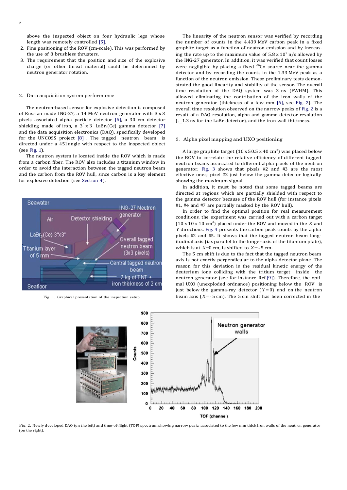above the inspected object on four hydraulic legs whose length was remotely controlled [5].

- 2. Fine positioning of the ROV (cm-scale). This was performed by the use of 8 brushless thrusters.
- 3. The requirement that the position and size of the explosive charge (or other threat material) could be determined by neutron generator rotation.

#### 2. Data acquisition system performance

The neutron-based sensor for explosive detection is composed of Russian made ING-27, a 14 MeV neutron generator with  $3 \times 3$ pixels associated alpha particle detector [6], a 30 cm detector shielding made of iron, a  $3 \times 3'$  LaBr<sub>3</sub>(Ce) gamma detector [7] and the data acquisition electronics (DAQ), specifically developed for the UNCOSS project  $[8]$  . The tagged neutron beam is directed under a 451 angle with respect to the inspected object (see Fig.  $1$ ).

The neutron system is located inside the ROV which is made from a carbon fiber. The ROV also includes a titanium window in order to avoid the interaction between the tagged neutron beam and the carbon from the ROV hull, since carbon is a key element for explosive detection (see Section 4).



Fig. 1. Graphical presentation of the inspection setup.

The linearity of the neutron sensor was verified by recording the number of counts in the 4.439 MeV carbon peak in a fixed graphite target as a function of neutron emission and by increasing the rate up to the maximum value of  $5.8 \times 10^7$  n/s allowed by the ING-27 generator. In addition, it was verified that count losses were negligible by placing a fixed  $^{60}$ Co source near the gamma detector and by recording the counts in the 1.33 MeV peak as a function of the neutron emission. These preliminary tests demonstrated the good linearity and stability of the sensor. The overall time resolution of the DAQ system was 3 ns (FWHM). This allowed eliminating the contribution of the iron walls of the neutron generator (thickness of a few mm  $[6]$ , see Fig. 2). The overall time resolution observed on the narrow peaks of Fig. 2 is a result of a DAQ resolution, alpha and gamma detector resolution  $($ . 1.3 ns for the LaBr detector), and the iron wall thickness.

#### 3. Alpha pixel mapping and UXO positioning

A large graphite target (10 x 50.5 x 40 cm<sup>3</sup>) was placed below the ROV to co-relate the relative efficiency of different tagged neutron beams associated to different alpha pixels of the neutron generator. Fig. 3 shows that pixels  $#2$  and  $#3$  are the most effective ones; pixel  $#2$  just below the gamma detector logically showing the maximum signal.

In addition, it must be noted that some tagged beams are directed at regions which are partially shielded with respect to the gamma detector because of the ROV hull (for instance pixels #1, #4 and #7 are partially masked by the ROV hull).

In order to find the optimal position for real measurement conditions, the experiment was carried out with a carbon target  $(10 \times 10 \times 10 \text{ cm}^3)$  placed under the ROV and moved in the *X* and *Y* directions. Fig. 4 presents the carbon peak counts by the alpha pixels #2 and #5. It shows that the tagged neutron beam longitudinal axis (i.e. parallel to the longer axis of the titanium plate), which is at  $X=0$  cm, is shifted to  $X = -5$  cm.

The 5 cm shift is due to the fact that the tagged neutron beam axis is not exactly perpendicular to the alpha detector plane. The reason for this deviation is the residual kinetic energy of the deuterium ions colliding with the tritium target inside the neutron generator (see for instance Ref.[9]). Therefore, the optimal UXO (unexploded ordnance) positioning below the ROV is just below the gamma-ray detector  $(Y=0)$  and on the neutron beam axis  $(X = -5$  cm). The 5 cm shift has been corrected in the



Fig. 2. Newly developed DAQ (on the left) and time-of-flight (TOF) spectrum showing narrow peaks associated to the few mm thick iron walls of the neutron generator (on the right).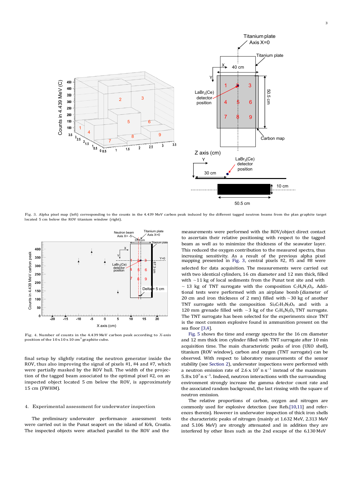

Fig. 3. Alpha pixel map (left) corresponding to the counts in the 4.439 MeV carbon peak induced by the different tagged neutron beams from the plan graphite target located 5 cm below the ROV titanium window (right).



Fig. 4. Number of counts in the 4.439 MeV carbon peak according to *X*-axis position of the  $10 \times 10 \times 10$  cm<sup>3</sup> graphite cube.

final setup by slightly rotating the neutron generator inside the ROV, thus also improving the signal of pixels  $#1, #4$  and  $#7$ , which were partially masked by the ROV hull. The width of the projection of the tagged beam associated to the optimal pixel  $#2$ , on an inspected object located 5 cm below the ROV, is approximately 15 cm (FWHM).

#### 4. Experimental assessment for underwater inspection

The preliminary underwater performance assessment tests were carried out in the Punat seaport on the island of Krk, Croatia. The inspected objects were attached parallel to the ROV and the

measurements were performed with the ROV/object direct contact to ascertain their relative positioning with respect to the tagged beam as well as to minimize the thickness of the seawater layer. This reduced the oxygen contribution to the measured spectra, thus increasing sensitivity. As a result of the previous alpha pixel mapping presented in Fig. 3, central pixels  $#2$ ,  $#5$  and  $#8$  were selected for data acquisition. The measurements were carried out with two identical cylinders, 16 cm diameter and 12 mm thick, filled with  $\sim$  11 kg of local sediments from the Punat test site and with  $\sim$  13 kg of TNT surrogate with the composition  $C_7H_6N_3O_6$ . Additional tests were performed with an airplane bomb (diameter of 20 cm and iron thickness of 2 mm) filled with  $\sim$  30 kg of another TNT surrogate with the composition  $Si_3C_7H_3N_3O_6$  and with a 120 mm grenade filled with  $\sim$  3 kg of the C<sub>7</sub>H<sub>6</sub>N<sub>3</sub>O<sub>6</sub> TNT surrogate. The TNT surrogate has been selected for the experiments since TNT is the most common explosive found in ammunition present on the sea floor [3,4].

Fig. 5 shows the time and energy spectra for the 16 cm diameter and 12 mm thick iron cylinder filled with TNT surrogate after 10 min acquisition time. The main characteristic peaks of iron (UXO shell), titanium (ROV window), carbon and oxygen (TNT surrogate) can be observed. With respect to laboratory measurements of the sensor stability (see Section 2), underwater inspections were performed with a neutron emission rate of  $2.6 \times 10^7$  n s<sup>-1</sup> instead of the maximum  $5.8 \times 10^7$  n s<sup>-1</sup>. Indeed, neutron interactions with the surrounding environment strongly increase the gamma detector count rate and the associated random background, the last rinsing with the square of neutron emission.

The relative proportions of carbon, oxygen and nitrogen are commonly used for explosive detection (see Refs.[10,11] and references therein). However in underwater inspection of thick iron shells the characteristic peaks of nitrogen (mainly at 1.632 MeV, 2.313 MeV and 5.106 MeV) are strongly attenuated and in addition they are interfered by other lines such as the 2nd escape of the 6.130 MeV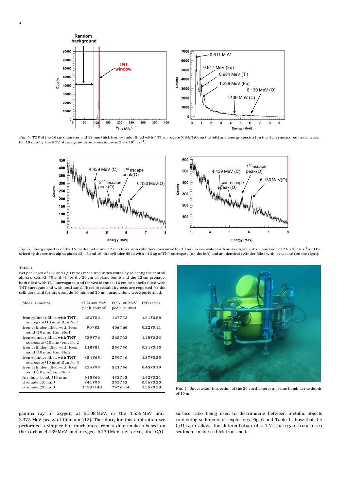

Fig. 5. TOF of the 16 cm diameter and 12 mm thick iron cylinder filled with TNT surrogate (C<sub>7H6</sub>N<sub>3</sub>O<sub>6</sub><sub>0</sub>on the left) and energy spectra (on the right) measured in sea water for 10 min by the ROV. Average neutron emission was  $2.6 \times 10^7$  n s<sup>-1</sup>.



Fig. 6. Energy spectra of the 16 cm diameter and 12 mm thick iron cylinders measured for 10 min in sea water with an average neutron emission of 2.6 x 10<sup>7</sup> n s<sup>-1</sup> and by<br>selecting the central alpha pixels #2, #5 and #8:

#### Table 1

Net peak area of C, O and C/O ratios measured in sea water by selecting the central alpha pixels  $#2, #5$  and  $#8$  for the 20 cm airplane bomb and the 12 cm grenade, both filled with TNT surrogates, and for two identical 16 cm iron shells filled with TNT surrogate and with local sand. Three repeatability tests are reported for the cylinders, and for the grenade 10 min and 20 min acquisitions were performed.

| Measurements                                                           | $C(4.439 \text{ MeV})$<br>peak counts) | $O(6.130 \text{ MeV})$<br>peak counts) | $C/O$ ratios |
|------------------------------------------------------------------------|----------------------------------------|----------------------------------------|--------------|
| Iron cylinder filled with TNT<br>surrogate (10 min) Run No.1           | 252756                                 | 167752                                 | 1.5170.58    |
| Iron cylinder filled with local<br>sand $(10 \text{ min})$ Run No.1    | 90782                                  | 406766                                 | 0.2270.21    |
| Iron cylinder filled with TNT<br>surrogate $(10 \text{ min})$ run No.2 | 539776                                 | 365763                                 | 1.4870.33    |
| Iron cylinder filled with local<br>sand $(10 \text{ min})$ Run No. 2   | 118781                                 | 556760                                 | 0.2170.15    |
| Iron cylinder filled with TNT<br>surrogate (10 min) Run No.3           | 354765                                 | 259746                                 | 1.3770.35    |
| Iron cylinder filled with local<br>sand $(10 \text{ min})$ run $No.3$  | 234793                                 | 521766                                 | 0.4570.19    |
| Airplane bomb (10 min)                                                 | 615766                                 | 433745                                 | 1.4270.21    |
| Grenade (10 min)                                                       | 341795                                 | 355753                                 | 0.9670.30    |
| Grenade (20 min)                                                       | 11587148                               | 7477104                                | 1.5570.29    |

Fig. 7. Underwater inspection of the 20 cm diameter airplane bomb at the depth  $\sim$  of 10 m.

gamma ray of oxygen, at 5.108 MeV, or the 1.555 MeV and 2.375 MeV peaks of titanium [12]. Therefore, for this application we performed a simpler but much more robust data analysis based on the carbon  $4.439 \text{ MeV}$  and oxygen  $6.130 \text{ MeV}$  net areas, the  $C/O$ 

surface ratio being used to discriminate between metallic objects containing sediments or explosives. Fig. 6 and Table 1 show that the  $C/O$  ratio allows the differentiation of a TNT surrogate from a sea sediment inside a thick iron shell.